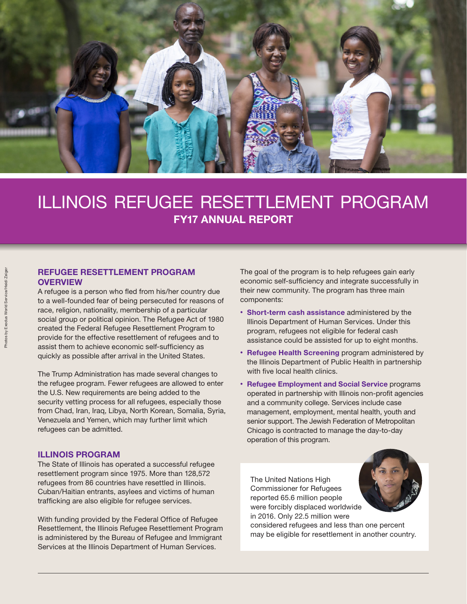

## ILLINOIS REFUGEE RESETTLEMENT PROGRAM FY17 ANNUAL REPORT

#### REFUGEE RESETTLEMENT PROGRAM **OVERVIEW**

A refugee is a person who fled from his/her country due to a well-founded fear of being persecuted for reasons of race, religion, nationality, membership of a particular social group or political opinion. The Refugee Act of 1980 created the Federal Refugee Resettlement Program to provide for the effective resettlement of refugees and to assist them to achieve economic self-sufficiency as quickly as possible after arrival in the United States.

The Trump Administration has made several changes to the refugee program. Fewer refugees are allowed to enter the U.S. New requirements are being added to the security vetting process for all refugees, especially those from Chad, Iran, Iraq, Libya, North Korean, Somalia, Syria, Venezuela and Yemen, which may further limit which refugees can be admitted.

#### ILLINOIS PROGRAM

The State of Illinois has operated a successful refugee resettlement program since 1975. More than 128,572 refugees from 86 countries have resettled in Illinois. Cuban/Haitian entrants, asylees and victims of human trafficking are also eligible for refugee services.

With funding provided by the Federal Office of Refugee Resettlement, the Illinois Refugee Resettlement Program is administered by the Bureau of Refugee and Immigrant Services at the Illinois Department of Human Services.

The goal of the program is to help refugees gain early economic self-sufficiency and integrate successfully in their new community. The program has three main components:

- Short-term cash assistance administered by the Illinois Department of Human Services. Under this program, refugees not eligible for federal cash assistance could be assisted for up to eight months.
- Refugee Health Screening program administered by the Illinois Department of Public Health in partnership with five local health clinics.
- Refugee Employment and Social Service programs operated in partnership with Illinois non-profit agencies and a community college. Services include case management, employment, mental health, youth and senior support. The Jewish Federation of Metropolitan Chicago is contracted to manage the day-to-day operation of this program.

The United Nations High Commissioner for Refugees reported 65.6 million people were forcibly displaced worldwide in 2016. Only 22.5 million were

considered refugees and less than one percent may be eligible for resettlement in another country.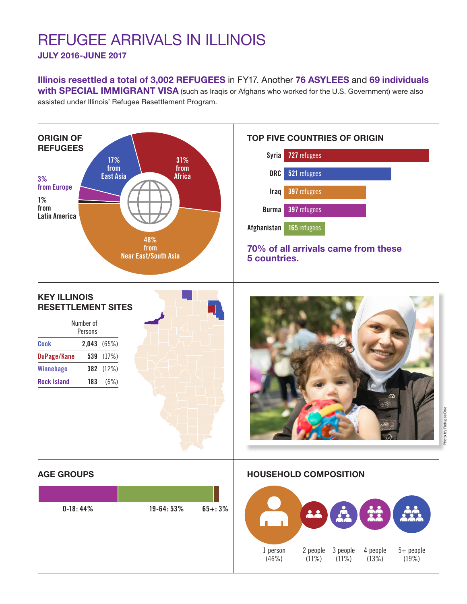# REFUGEE ARRIVALS IN ILLINOIS

JULY 2016-JUNE 2017

Illinois resettled a total of 3,002 REFUGEES in FY17. Another 76 ASYLEES and 69 individuals with SPECIAL IMMIGRANT VISA (such as Iraqis or Afghans who worked for the U.S. Government) were also assisted under Illinois' Refugee Resettlement Program.

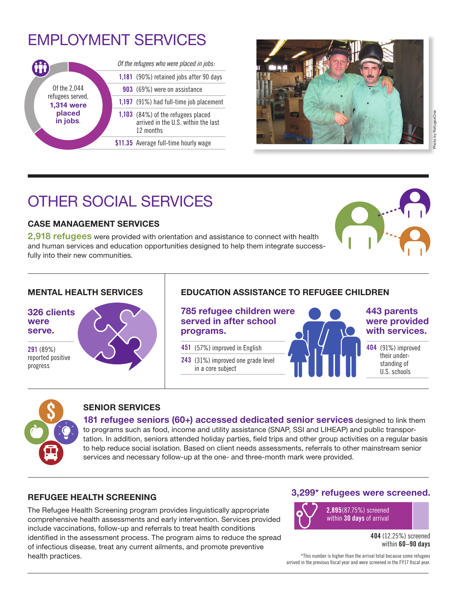# EMPLOYMENT SERVICES





# OTHER SOCIAL SERVICES

#### CASE MANAGEMENT SERVICES

2,918 refugees were provided with orientation and assistance to connect with health and human services and education opportunities designed to help them integrate successfully into their new communities.



326 clients were serve.

**291** (89%) reported positive progress



#### MENTAL HEALTH SERVICES EDUCATION ASSISTANCE TO REFUGEE CHILDREN

785 refugee children were served in after school programs.

**451** (57%) improved in English

**243** (31%) improved one grade level in a core subject



their understanding of U.S. schools



#### SENIOR SERVICES

181 refugee seniors (60+) accessed dedicated senior services designed to link them to programs such as food, income and utility assistance (SNAP, SSI and LIHEAP) and public transportation. In addition, seniors attended holiday parties, field trips and other group activities on a regular basis to help reduce social isolation. Based on client needs assessments, referrals to other mainstream senior services and necessary follow-up at the one- and three-month mark were provided.

#### REFUGEE HEALTH SCREENING

The Refugee Health Screening program provides linguistically appropriate comprehensive health assessments and early intervention. Services provided include vaccinations, follow-up and referrals to treat health conditions identified in the assessment process. The program aims to reduce the spread of infectious disease, treat any current ailments, and promote preventive health practices.  $\blacksquare$ 

#### 3,299\* refugees were screened.



**404** (12.25%) screened within **60–90 days**

arrived in the previous fiscal year and were screened in the FY17 fiscal year.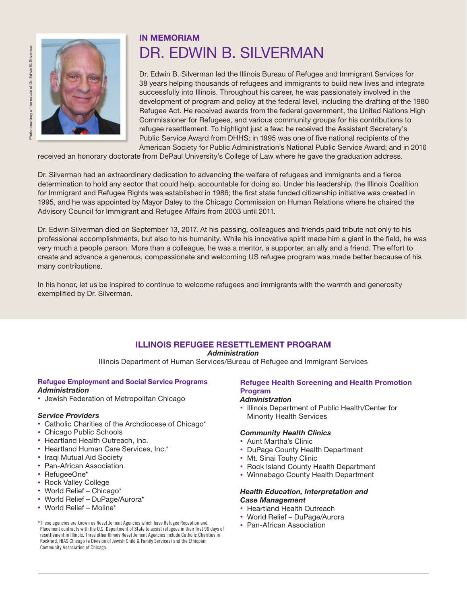

### IN MEMORIAM DR. EDWIN B. SILVERMAN

Dr. Edwin B. Silverman led the Illinois Bureau of Refugee and Immigrant Services for 38 years helping thousands of refugees and immigrants to build new lives and integrate successfully into Illinois. Throughout his career, he was passionately involved in the development of program and policy at the federal level, including the drafting of the 1980 Refugee Act. He received awards from the federal government, the United Nations High Commissioner for Refugees, and various community groups for his contributions to refugee resettlement. To highlight just a few: he received the Assistant Secretary's Public Service Award from DHHS; in 1995 was one of five national recipients of the American Society for Public Administration's National Public Service Award; and in 2016

received an honorary doctorate from DePaul University's College of Law where he gave the graduation address.

Dr. Silverman had an extraordinary dedication to advancing the welfare of refugees and immigrants and a fierce determination to hold any sector that could help, accountable for doing so. Under his leadership, the Illinois Coalition for Immigrant and Refugee Rights was established in 1986; the first state funded citizenship initiative was created in 1995, and he was appointed by Mayor Daley to the Chicago Commission on Human Relations where he chaired the Advisory Council for Immigrant and Refugee Affairs from 2003 until 2011.

Dr. Edwin Silverman died on September 13, 2017. At his passing, colleagues and friends paid tribute not only to his professional accomplishments, but also to his humanity. While his innovative spirit made him a giant in the field, he was very much a people person. More than a colleague, he was a mentor, a supporter, an ally and a friend. The effort to create and advance a generous, compassionate and welcoming US refugee program was made better because of his many contributions.

In his honor, let us be inspired to continue to welcome refugees and immigrants with the warmth and generosity exemplified by Dr. Silverman.

#### ILLINOIS REFUGEE RESETTLEMENT PROGRAM

#### *Administration*

Illinois Department of Human Services/Bureau of Refugee and Immigrant Services

#### Refugee Employment and Social Service Programs *Administration*

• Jewish Federation of Metropolitan Chicago

#### *Service Providers*

- Catholic Charities of the Archdiocese of Chicago\*
- Chicago Public Schools
- Heartland Health Outreach, Inc.
- Heartland Human Care Services, Inc.\*
- Iraqi Mutual Aid Society
- Pan-African Association
- RefugeeOne\*
- Rock Valley College
- World Relief Chicago\*
- World Relief DuPage/Aurora\*
- World Relief Moline\*

\*These agencies are known as Resettlement Agencies which have Refugee Reception and Placement contracts with the U.S. Department of State to assist refugees in their first 90 days of resettlement in Illinois. Three other Illinois Resettlement Agencies include Catholic Charities in Rockford, HIAS Chicago (a Division of Jewish Child & Family Services) and the Ethiopian Community Association of Chicago.

#### Refugee Health Screening and Health Promotion Program

#### *Administration*

• Illinois Department of Public Health/Center for Minority Health Services

#### *Community Health Clinics*

- Aunt Martha's Clinic
- DuPage County Health Department
- Mt. Sinai Touhy Clinic
- Rock Island County Health Department
- Winnebago County Health Department

#### *Health Education, Interpretation and Case Management*

- Heartland Health Outreach
- World Relief DuPage/Aurora
- Pan-African Association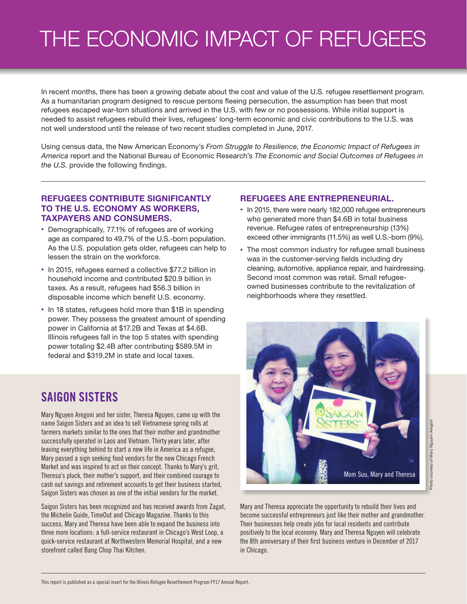# THE ECONOMIC IMPACT OF REFUGEES

In recent months, there has been a growing debate about the cost and value of the U.S. refugee resettlement program. As a humanitarian program designed to rescue persons fleeing persecution, the assumption has been that most refugees escaped war-torn situations and arrived in the U.S. with few or no possessions. While initial support is needed to assist refugees rebuild their lives, refugees' long-term economic and civic contributions to the U.S. was not well understood until the release of two recent studies completed in June, 2017.

Using census data, the New American Economy's *From Struggle to Resilience, the Economic Impact of Refugees in America* report and the National Bureau of Economic Research's *The Economic and Social Outcomes of Refugees in the U.S.* provide the following findings.

#### REFUGEES CONTRIBUTE SIGNIFICANTLY TO THE U.S. ECONOMY AS WORKERS, TAXPAYERS AND CONSUMERS.

- Demographically, 77.1% of refugees are of working age as compared to 49.7% of the U.S.-born population. As the U.S. population gets older, refugees can help to lessen the strain on the workforce.
- In 2015, refugees earned a collective \$77.2 billion in household income and contributed \$20.9 billion in taxes. As a result, refugees had \$56.3 billion in disposable income which benefit U.S. economy.
- In 18 states, refugees hold more than \$1B in spending power. They possess the greatest amount of spending power in California at \$17.2B and Texas at \$4.6B. Illinois refugees fall in the top 5 states with spending power totaling \$2.4B after contributing \$589.5M in federal and \$319.2M in state and local taxes.

### **SAIGON SISTERS**

Mary Nguyen Aregoni and her sister, Theresa Nguyen, came up with the name Saigon Sisters and an idea to sell Vietnamese spring rolls at farmers markets similar to the ones that their mother and grandmother successfully operated in Laos and Vietnam. Thirty years later, after leaving everything behind to start a new life in America as a refugee, Mary passed a sign seeking food vendors for the new Chicago French Market and was inspired to act on their concept. Thanks to Mary's grit, Theresa's pluck, their mother's support, and their combined courage to cash out savings and retirement accounts to get their business started, Saigon Sisters was chosen as one of the initial vendors for the market.

Saigon Sisters has been recognized and has received awards from Zagat, the Michelin Guide, TimeOut and Chicago Magazine. Thanks to this success, Mary and Theresa have been able to expand the business into three more locations: a full-service restaurant in Chicago's West Loop, a quick-service restaurant at Northwestern Memorial Hospital, and a new storefront called Bang Chop Thai Kitchen.

#### REFUGEES ARE ENTREPRENEURIAL.

- In 2015, there were nearly 182,000 refugee entrepreneurs who generated more than \$4.6B in total business revenue. Refugee rates of entrepreneurship (13%) exceed other immigrants (11.5%) as well U.S.-born (9%).
- The most common industry for refugee small business was in the customer-serving fields including dry cleaning, automotive, appliance repair, and hairdressing. Second most common was retail. Small refugeeowned businesses contribute to the revitalization of neighborhoods where they resettled.



Photo courtesy of Mary Nguyen Aregoni oto courtesy of Mary Nguyen Aregon

Mary and Theresa appreciate the opportunity to rebuild their lives and become successful entrepreneurs just like their mother and grandmother. Their businesses help create jobs for local residents and contribute positively to the local economy. Mary and Theresa Nguyen will celebrate the 8th anniversary of their first business venture in December of 2017 in Chicago.